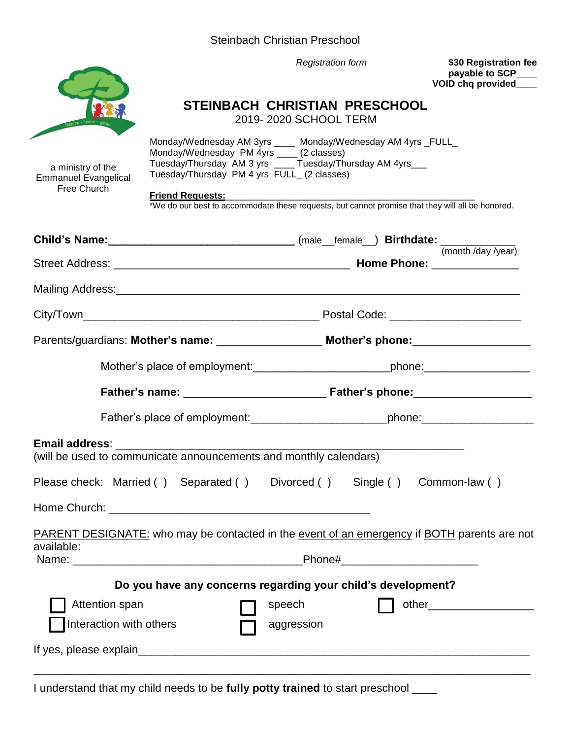| Steinbach Christian Preschool |
|-------------------------------|
|-------------------------------|



*Registration form* **\$30 Registration fee payable to SCP\_\_\_\_ VOID chq provided\_\_\_\_**

#### **STEINBACH CHRISTIAN PRESCHOOL**

2019- 2020 SCHOOL TERM

| a ministry of the<br><b>Emmanuel Evangelical</b><br>Free Church | Monday/Wednesday AM 3yrs _____ Monday/Wednesday AM 4yrs _FULL_<br>Monday/Wednesday PM 4yrs ____ (2 classes)<br>Tuesday/Thursday AM 3 yrs _____Tuesday/Thursday AM 4yrs___<br>Tuesday/Thursday PM 4 yrs FULL_ (2 classes)<br><b>Friend Requests:</b><br>*We do our best to accommodate these requests, but cannot promise that they will all be honored. | <u> 1980 - Jan Barnett, fransk politiker (d. 1980)</u> |                                                                                             |
|-----------------------------------------------------------------|---------------------------------------------------------------------------------------------------------------------------------------------------------------------------------------------------------------------------------------------------------------------------------------------------------------------------------------------------------|--------------------------------------------------------|---------------------------------------------------------------------------------------------|
|                                                                 | Child's Name: __________________________________(male__female__) Birthdate: ____________                                                                                                                                                                                                                                                                |                                                        | (month /day /year)                                                                          |
|                                                                 |                                                                                                                                                                                                                                                                                                                                                         |                                                        |                                                                                             |
|                                                                 |                                                                                                                                                                                                                                                                                                                                                         |                                                        |                                                                                             |
|                                                                 |                                                                                                                                                                                                                                                                                                                                                         |                                                        |                                                                                             |
|                                                                 | Parents/guardians: Mother's name: _______________________ Mother's phone: _________________________                                                                                                                                                                                                                                                     |                                                        |                                                                                             |
|                                                                 | Mother's place of employment: _________________________________phone: ______________________________                                                                                                                                                                                                                                                    |                                                        |                                                                                             |
|                                                                 |                                                                                                                                                                                                                                                                                                                                                         |                                                        |                                                                                             |
|                                                                 |                                                                                                                                                                                                                                                                                                                                                         |                                                        | Father's place of employment:______________________________phone:_______________            |
|                                                                 | (will be used to communicate announcements and monthly calendars)                                                                                                                                                                                                                                                                                       |                                                        |                                                                                             |
|                                                                 | Please check: Married () Separated () Divorced () Single () Common-law ()                                                                                                                                                                                                                                                                               |                                                        |                                                                                             |
|                                                                 |                                                                                                                                                                                                                                                                                                                                                         |                                                        |                                                                                             |
| available:                                                      |                                                                                                                                                                                                                                                                                                                                                         |                                                        | PARENT DESIGNATE: who may be contacted in the event of an emergency if BOTH parents are not |
|                                                                 |                                                                                                                                                                                                                                                                                                                                                         | Phone#_                                                |                                                                                             |
|                                                                 | Do you have any concerns regarding your child's development?                                                                                                                                                                                                                                                                                            |                                                        |                                                                                             |
| Attention span                                                  |                                                                                                                                                                                                                                                                                                                                                         | speech                                                 | other_______________________                                                                |
| Interaction with others                                         |                                                                                                                                                                                                                                                                                                                                                         | aggression                                             |                                                                                             |
|                                                                 |                                                                                                                                                                                                                                                                                                                                                         |                                                        |                                                                                             |

I understand that my child needs to be **fully potty trained** to start preschool \_\_\_\_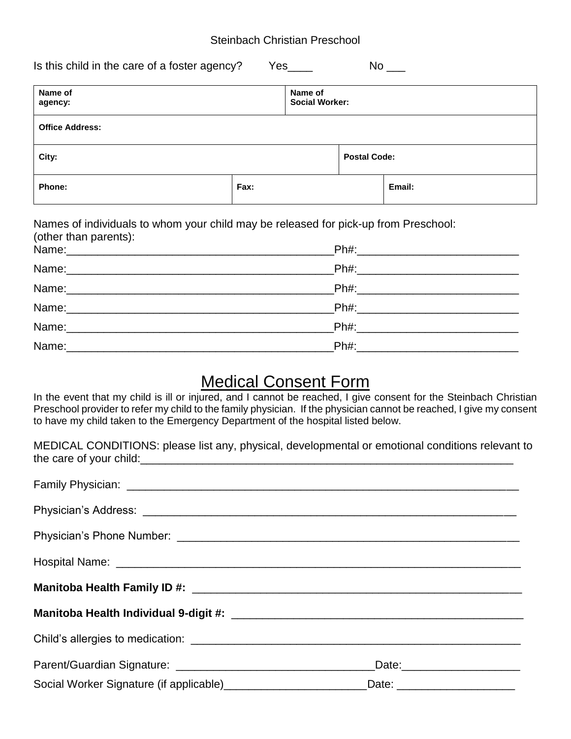#### Steinbach Christian Preschool

| Is this child in the care of a foster agency?<br>No<br>Yes |      |                                  |                     |        |
|------------------------------------------------------------|------|----------------------------------|---------------------|--------|
| Name of<br>agency:                                         |      | Name of<br><b>Social Worker:</b> |                     |        |
| <b>Office Address:</b>                                     |      |                                  |                     |        |
| City:                                                      |      |                                  | <b>Postal Code:</b> |        |
| Phone:                                                     | Fax: |                                  |                     | Email: |

Names of individuals to whom your child may be released for pick-up from Preschool: (other than parents):

| Ph#: ___________________________ |
|----------------------------------|
|                                  |

## Medical Consent Form

In the event that my child is ill or injured, and I cannot be reached, I give consent for the Steinbach Christian Preschool provider to refer my child to the family physician. If the physician cannot be reached, I give my consent to have my child taken to the Emergency Department of the hospital listed below.

|                         |  | MEDICAL CONDITIONS: please list any, physical, developmental or emotional conditions relevant to |
|-------------------------|--|--------------------------------------------------------------------------------------------------|
| the care of your child: |  |                                                                                                  |

|                                                                                                     | Date: _______________________ |  |  |
|-----------------------------------------------------------------------------------------------------|-------------------------------|--|--|
| Social Worker Signature (if applicable)__________________________Date: ____________________________ |                               |  |  |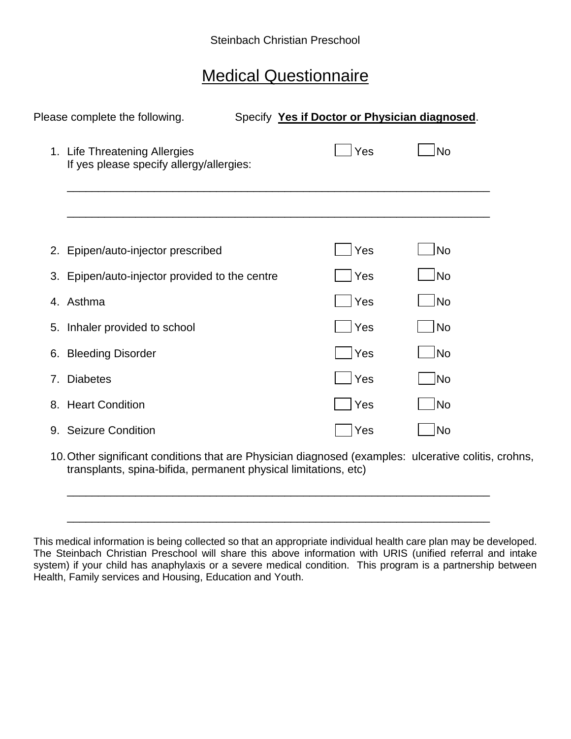# Medical Questionnaire

|    | Please complete the following.                                            |                          | Specify Yes if Doctor or Physician diagnosed. |                              |
|----|---------------------------------------------------------------------------|--------------------------|-----------------------------------------------|------------------------------|
|    | 1. Life Threatening Allergies<br>If yes please specify allergy/allergies: |                          | Yes                                           | No                           |
|    |                                                                           |                          |                                               |                              |
|    | 2. Epipen/auto-injector prescribed                                        |                          | Yes                                           | <b>No</b>                    |
|    | 3. Epipen/auto-injector provided to the centre                            |                          | Yes                                           | No                           |
| 4. | Asthma                                                                    |                          | Yes                                           | No!                          |
|    | 5. Inhaler provided to school                                             |                          | Yes                                           | <b>No</b>                    |
|    | 6. Bleeding Disorder                                                      |                          | Yes                                           | No                           |
| 7. | <b>Diabetes</b>                                                           |                          | Yes                                           | No                           |
|    | 8. Heart Condition                                                        |                          | Yes                                           | No                           |
|    | 9. Seizure Condition                                                      |                          | Yes                                           | No                           |
|    | 40.04<br>المستحل المستطلع المستحدث فالمائل المتناسب المستد                | Districts and the second | .                                             | وبالمتواط والمستحدث والمراجع |

10.Other significant conditions that are Physician diagnosed (examples: ulcerative colitis, crohns, transplants, spina-bifida, permanent physical limitations, etc)

\_\_\_\_\_\_\_\_\_\_\_\_\_\_\_\_\_\_\_\_\_\_\_\_\_\_\_\_\_\_\_\_\_\_\_\_\_\_\_\_\_\_\_\_\_\_\_\_\_\_\_\_\_\_\_\_\_\_\_\_\_\_\_\_\_\_\_\_

\_\_\_\_\_\_\_\_\_\_\_\_\_\_\_\_\_\_\_\_\_\_\_\_\_\_\_\_\_\_\_\_\_\_\_\_\_\_\_\_\_\_\_\_\_\_\_\_\_\_\_\_\_\_\_\_\_\_\_\_\_\_\_\_\_\_\_\_

This medical information is being collected so that an appropriate individual health care plan may be developed. The Steinbach Christian Preschool will share this above information with URIS (unified referral and intake system) if your child has anaphylaxis or a severe medical condition. This program is a partnership between Health, Family services and Housing, Education and Youth.